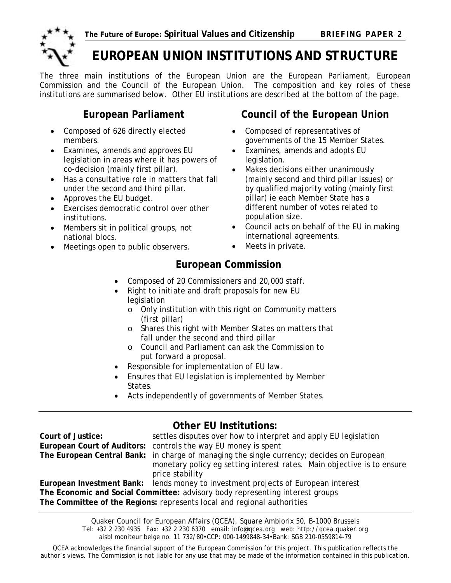**EUROPEAN UNION INSTITUTIONS AND STRUCTURE** 

The three main institutions of the European Union are the European Parliament, European Commission and the Council of the European Union. The composition and key roles of these institutions are summarised below. Other EU institutions are described at the bottom of the page.

# **European Parliament**

- Composed of 626 directly elected members.
- Examines, amends and approves EU legislation in areas where it has powers of co-decision (mainly first pillar).
- Has a consultative role in matters that fall under the second and third pillar.
- Approves the EU budget.
- Exercises democratic control over other institutions.
- Members sit in political groups, not national blocs.
- Meetings open to public observers.

# **Council of the European Union**

- Composed of representatives of governments of the 15 Member States.
- Examines, amends and adopts EU legislation.
- Makes decisions either unanimously (mainly second and third pillar issues) or by qualified majority voting (mainly first pillar) ie each Member State has a different number of votes related to population size.
- Council acts on behalf of the EU in making international agreements.
- Meets in private.

# **European Commission**

- Composed of 20 Commissioners and 20,000 staff.
- Right to initiate and draft proposals for new EU legislation
	- o Only institution with this right on Community matters (first pillar)
	- o Shares this right with Member States on matters that fall under the second and third pillar
	- o Council and Parliament can ask the Commission to put forward a proposal.
- Responsible for implementation of EU law.
- Ensures that EU legislation is implemented by Member States.
- Acts independently of governments of Member States.

# **Other EU Institutions:**

| Court of Justice:                                                             | settles disputes over how to interpret and apply EU legislation<br><b>European Court of Auditors:</b> controls the way EU money is spent<br>The European Central Bank: in charge of managing the single currency; decides on European<br>monetary policy eg setting interest rates. Main objective is to ensure<br>price stability |  |
|-------------------------------------------------------------------------------|------------------------------------------------------------------------------------------------------------------------------------------------------------------------------------------------------------------------------------------------------------------------------------------------------------------------------------|--|
|                                                                               | <b>European Investment Bank:</b> lends money to investment projects of European interest                                                                                                                                                                                                                                           |  |
| The Economic and Social Committee: advisory body representing interest groups |                                                                                                                                                                                                                                                                                                                                    |  |
| The Committee of the Regions: represents local and regional authorities       |                                                                                                                                                                                                                                                                                                                                    |  |

Quaker Council for European Affairs (QCEA), Square Ambiorix 50, B-1000 Brussels Tel: +32 2 230 4935 Fax: +32 2 230 6370 email: info@qcea.org web: http://qcea.quaker.org aisbl moniteur belge no. 11 732/80•CCP: 000-1499848-34•Bank: SGB 210-0559814-79

QCEA acknowledges the financial support of the European Commission for this project. This publication reflects the author's views. The Commission is not liable for any use that may be made of the information contained in this publication.